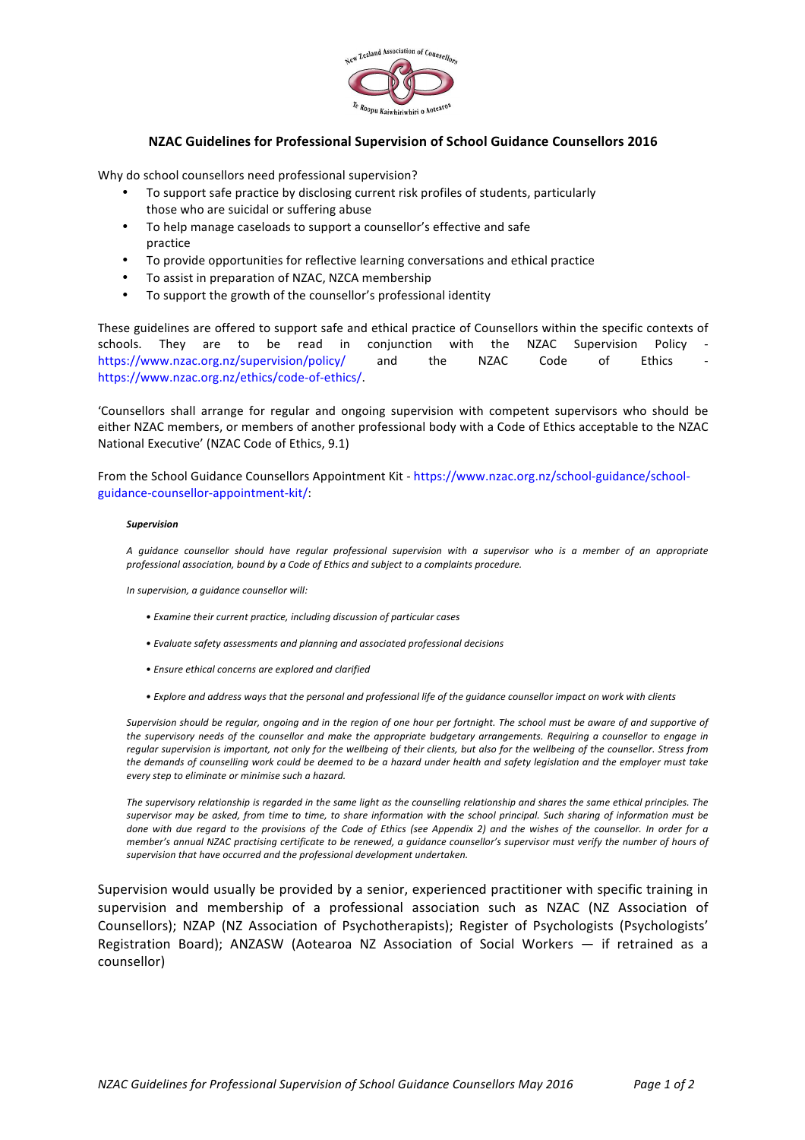

## **NZAC Guidelines for Professional Supervision of School Guidance Counsellors 2016**

Why do school counsellors need professional supervision?

- To support safe practice by disclosing current risk profiles of students, particularly those who are suicidal or suffering abuse
- To help manage caseloads to support a counsellor's effective and safe practice
- To provide opportunities for reflective learning conversations and ethical practice
- To assist in preparation of NZAC, NZCA membership
- To support the growth of the counsellor's professional identity

These guidelines are offered to support safe and ethical practice of Counsellors within the specific contexts of schools. They are to be read in conjunction with the NZAC Supervision Policy https://www.nzac.org.nz/supervision/policy/ and the NZAC Code of Ethics https://www.nzac.org.nz/ethics/code-of-ethics/.

'Counsellors shall arrange for regular and ongoing supervision with competent supervisors who should be either NZAC members, or members of another professional body with a Code of Ethics acceptable to the NZAC National Executive' (NZAC Code of Ethics, 9.1)

From the School Guidance Counsellors Appointment Kit - https://www.nzac.org.nz/school-guidance/schoolguidance-counsellor-appointment-kit/:

## *Supervision*

*A guidance counsellor should have regular professional supervision with a supervisor who is a member of an appropriate*  professional association, bound by a Code of Ethics and subject to a complaints procedure.

*In supervision, a guidance counsellor will:* 

- *• Examine their current practice, including discussion of particular cases*
- *• Evaluate safety assessments and planning and associated professional decisions*
- *• Ensure ethical concerns are explored and clarified*
- Explore and address ways that the personal and professional life of the guidance counsellor impact on work with clients

Supervision should be regular, ongoing and in the region of one hour per fortnight. The school must be aware of and supportive of the supervisory needs of the counsellor and make the appropriate budgetary arrangements. Requiring a counsellor to engage in reqular supervision is important, not only for the wellbeing of their clients, but also for the wellbeing of the counsellor. Stress from *the demands of counselling work could be deemed to be a hazard under health and safety legislation and the employer must take every step to eliminate or minimise such a hazard.*

The supervisory relationship is regarded in the same light as the counselling relationship and shares the same ethical principles. The supervisor may be asked, from time to time, to share information with the school principal. Such sharing of information must be done with due regard to the provisions of the Code of Ethics (see Appendix 2) and the wishes of the counsellor. In order for a *member's annual NZAC practising certificate to be renewed, a guidance counsellor's supervisor must verify the number of hours of* supervision that have occurred and the professional development undertaken.

Supervision would usually be provided by a senior, experienced practitioner with specific training in supervision and membership of a professional association such as NZAC (NZ Association of Counsellors); NZAP (NZ Association of Psychotherapists); Register of Psychologists (Psychologists' Registration Board); ANZASW (Aotearoa NZ Association of Social Workers  $-$  if retrained as a counsellor)